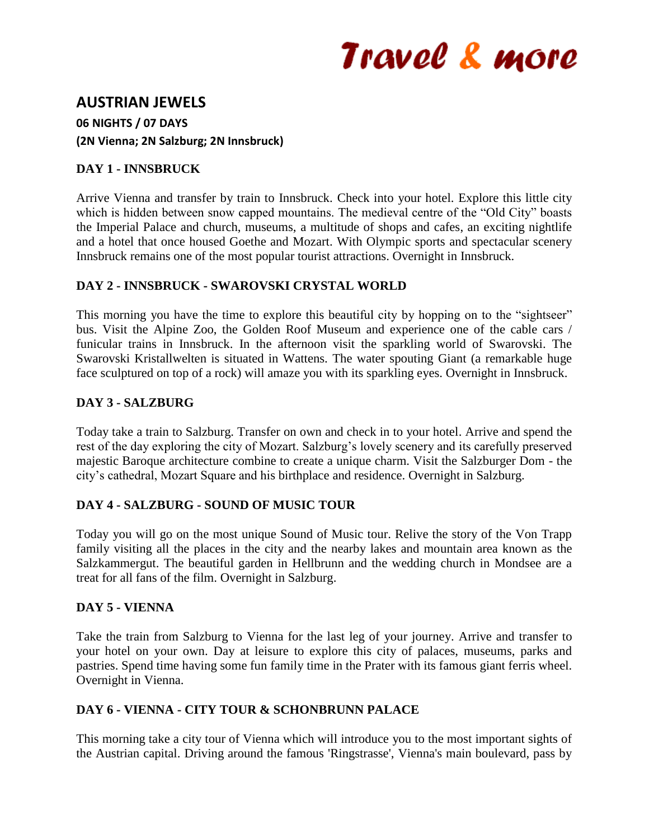# Travel & more

# **AUSTRIAN JEWELS**

**06 NIGHTS / 07 DAYS (2N Vienna; 2N Salzburg; 2N Innsbruck)**

## **DAY 1 - INNSBRUCK**

Arrive Vienna and transfer by train to Innsbruck. Check into your hotel. Explore this little city which is hidden between snow capped mountains. The medieval centre of the "Old City" boasts the Imperial Palace and church, museums, a multitude of shops and cafes, an exciting nightlife and a hotel that once housed Goethe and Mozart. With Olympic sports and spectacular scenery Innsbruck remains one of the most popular tourist attractions. Overnight in Innsbruck.

# **DAY 2 - INNSBRUCK - SWAROVSKI CRYSTAL WORLD**

This morning you have the time to explore this beautiful city by hopping on to the "sightseer" bus. Visit the Alpine Zoo, the Golden Roof Museum and experience one of the cable cars / funicular trains in Innsbruck. In the afternoon visit the sparkling world of Swarovski. The Swarovski Kristallwelten is situated in Wattens. The water spouting Giant (a remarkable huge face sculptured on top of a rock) will amaze you with its sparkling eyes. Overnight in Innsbruck.

# **DAY 3 - SALZBURG**

Today take a train to Salzburg. Transfer on own and check in to your hotel. Arrive and spend the rest of the day exploring the city of Mozart. Salzburg's lovely scenery and its carefully preserved majestic Baroque architecture combine to create a unique charm. Visit the Salzburger Dom - the city's cathedral, Mozart Square and his birthplace and residence. Overnight in Salzburg.

### **DAY 4 - SALZBURG - SOUND OF MUSIC TOUR**

Today you will go on the most unique Sound of Music tour. Relive the story of the Von Trapp family visiting all the places in the city and the nearby lakes and mountain area known as the Salzkammergut. The beautiful garden in Hellbrunn and the wedding church in Mondsee are a treat for all fans of the film. Overnight in Salzburg.

### **DAY 5 - VIENNA**

Take the train from Salzburg to Vienna for the last leg of your journey. Arrive and transfer to your hotel on your own. Day at leisure to explore this city of palaces, museums, parks and pastries. Spend time having some fun family time in the Prater with its famous giant ferris wheel. Overnight in Vienna.

### **DAY 6 - VIENNA - CITY TOUR & SCHONBRUNN PALACE**

This morning take a city tour of Vienna which will introduce you to the most important sights of the Austrian capital. Driving around the famous 'Ringstrasse', Vienna's main boulevard, pass by